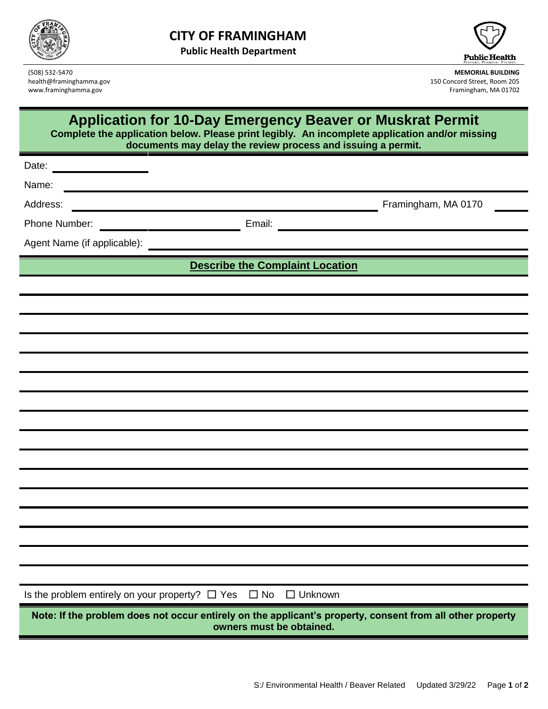

**Public Health Department**



www.framinghamma.gov

(508) 532-5470 **MEMORIAL BUILDING** health@framinghamma.gov 150 Concord Street, Room 205<br>
www.framinghamma.gov 150 Concord Street, Room 205<br>
Framinghamma.gov 150 Concord Street, Room 205

## **Application for 10-Day Emergency Beaver or Muskrat Permit**

**Complete the application below. Please print legibly. An incomplete application and/or missing documents may delay the review process and issuing a permit.**

| Date:<br><u> 1989 - Johann Barbara, martxa a</u>                                                                                      |  |                                        |                                               |
|---------------------------------------------------------------------------------------------------------------------------------------|--|----------------------------------------|-----------------------------------------------|
| Name:                                                                                                                                 |  |                                        |                                               |
| Address:                                                                                                                              |  |                                        | Framingham, MA 0170                           |
| Phone Number:<br><b>Email:</b> Email:                                                                                                 |  |                                        | <u> 1980 - Andrea Andrew Maria (h. 1980).</u> |
|                                                                                                                                       |  |                                        |                                               |
|                                                                                                                                       |  | <b>Describe the Complaint Location</b> |                                               |
|                                                                                                                                       |  |                                        |                                               |
|                                                                                                                                       |  |                                        |                                               |
|                                                                                                                                       |  |                                        |                                               |
|                                                                                                                                       |  |                                        |                                               |
|                                                                                                                                       |  |                                        |                                               |
|                                                                                                                                       |  |                                        |                                               |
|                                                                                                                                       |  |                                        |                                               |
|                                                                                                                                       |  |                                        |                                               |
|                                                                                                                                       |  |                                        |                                               |
|                                                                                                                                       |  |                                        |                                               |
|                                                                                                                                       |  |                                        |                                               |
|                                                                                                                                       |  |                                        |                                               |
|                                                                                                                                       |  |                                        |                                               |
|                                                                                                                                       |  |                                        |                                               |
|                                                                                                                                       |  |                                        |                                               |
|                                                                                                                                       |  |                                        |                                               |
| Is the problem entirely on your property? $\Box$ Yes $\Box$ No $\Box$ Unknown                                                         |  |                                        |                                               |
| Note: If the problem does not occur entirely on the applicant's property, consent from all other property<br>owners must be obtained. |  |                                        |                                               |